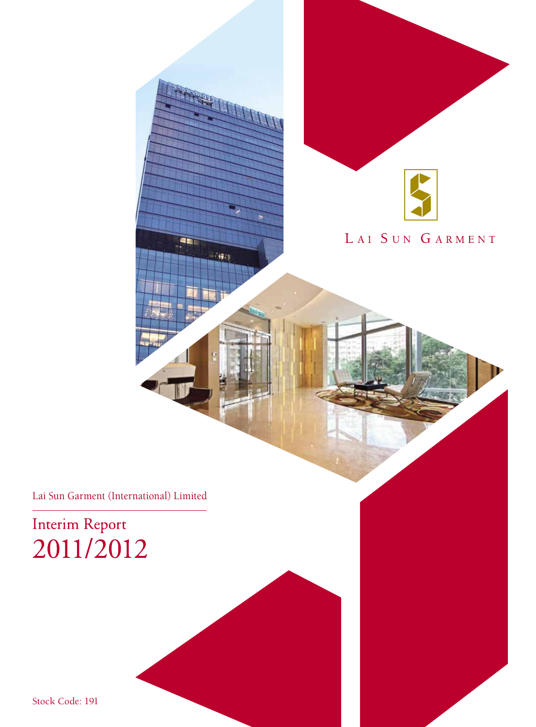

# LAI SUN GARMENT

Lai Sun Garment (International) Limited

46

 $\pm$  60)

Interim Report 2011/2012

Stock Code: 191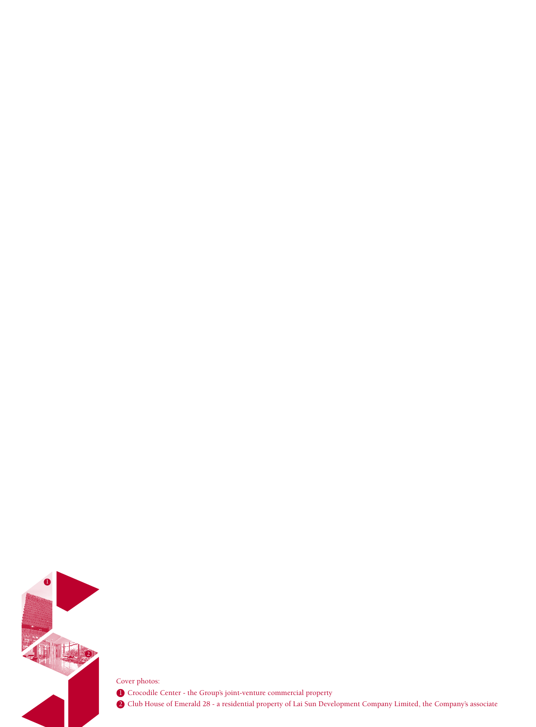

Cover photos: 2. Club House of Emerald 28 - a residential property of Lai Sun Development Company Limited, the Company's associate 2 **1.** Crocodile Center - the Group's joint-venture commercial property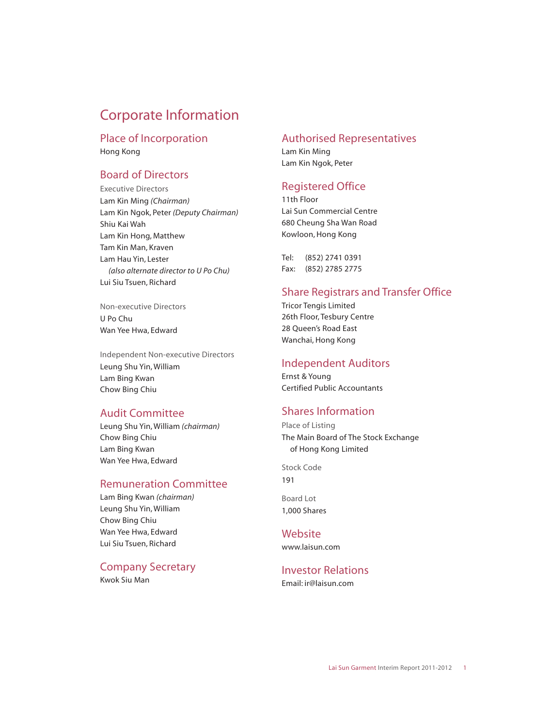# Corporate Information

#### Place of Incorporation Hong Kong

## Board of Directors

Executive Directors Lam Kin Ming *(Chairman)* Lam Kin Ngok, Peter *(Deputy Chairman)* Shiu Kai Wah Lam Kin Hong, Matthew Tam Kin Man, Kraven Lam Hau Yin, Lester *(also alternate director to U Po Chu)* Lui Siu Tsuen, Richard

Non-executive Directors U Po Chu Wan Yee Hwa, Edward

Independent Non-executive Directors Leung Shu Yin, William Lam Bing Kwan Chow Bing Chiu

### Audit Committee

Leung Shu Yin, William *(chairman)* Chow Bing Chiu Lam Bing Kwan Wan Yee Hwa, Edward

### Remuneration Committee

Lam Bing Kwan *(chairman)* Leung Shu Yin, William Chow Bing Chiu Wan Yee Hwa, Edward Lui Siu Tsuen, Richard

### Company Secretary

Kwok Siu Man

### Authorised Representatives

Lam Kin Ming Lam Kin Ngok, Peter

## Registered Office

11th Floor Lai Sun Commercial Centre 680 Cheung Sha Wan Road Kowloon, Hong Kong

Tel: (852) 2741 0391 Fax: (852) 2785 2775

## Share Registrars and Transfer Office

Tricor Tengis Limited 26th Floor, Tesbury Centre 28 Queen's Road East Wanchai, Hong Kong

### Independent Auditors

Ernst & Young Certified Public Accountants

## Shares Information

Place of Listing The Main Board of The Stock Exchange of Hong Kong Limited

Stock Code 191

Board Lot 1,000 Shares

### **Website**

www.laisun.com

## Investor Relations

Email: ir@laisun.com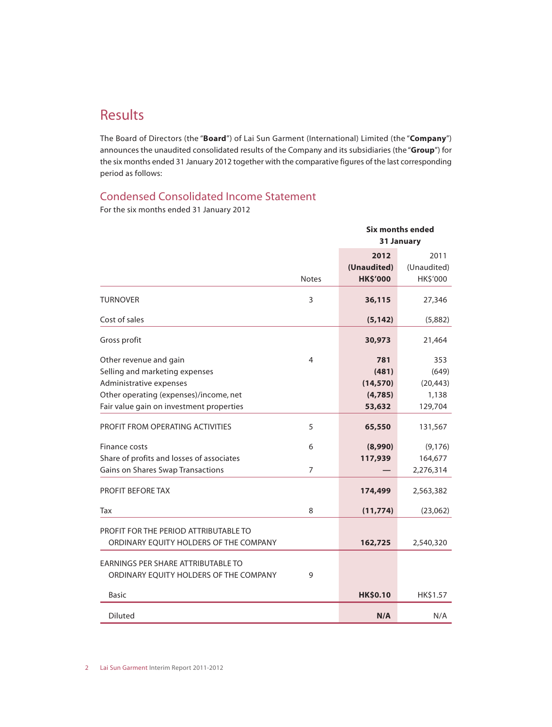# Results

The Board of Directors (the "**Board**") of Lai Sun Garment (International) Limited (the "**Company**") announces the unaudited consolidated results of the Company and its subsidiaries (the "**Group**") for the six months ended 31 January 2012 together with the comparative figures of the last corresponding period as follows:

### Condensed Consolidated Income Statement

For the six months ended 31 January 2012

|                                                                                 |              |                                        | <b>Six months ended</b><br>31 January |
|---------------------------------------------------------------------------------|--------------|----------------------------------------|---------------------------------------|
|                                                                                 | <b>Notes</b> | 2012<br>(Unaudited)<br><b>HK\$'000</b> | 2011<br>(Unaudited)<br>HK\$'000       |
| <b>TURNOVER</b>                                                                 | 3            | 36,115                                 | 27,346                                |
| Cost of sales                                                                   |              | (5, 142)                               | (5,882)                               |
| Gross profit                                                                    |              | 30,973                                 | 21,464                                |
| Other revenue and gain                                                          | 4            | 781                                    | 353                                   |
| Selling and marketing expenses                                                  |              | (481)                                  | (649)                                 |
| Administrative expenses                                                         |              | (14, 570)                              | (20, 443)                             |
| Other operating (expenses)/income, net                                          |              | (4,785)                                | 1,138                                 |
| Fair value gain on investment properties                                        |              | 53,632                                 | 129,704                               |
| PROFIT FROM OPERATING ACTIVITIES                                                | 5            | 65,550                                 | 131,567                               |
| Finance costs                                                                   | 6            | (8,990)                                | (9, 176)                              |
| Share of profits and losses of associates                                       |              | 117,939                                | 164,677                               |
| Gains on Shares Swap Transactions                                               | 7            |                                        | 2,276,314                             |
| PROFIT BEFORE TAX                                                               |              | 174,499                                | 2,563,382                             |
| Tax                                                                             | 8            | (11, 774)                              | (23,062)                              |
| PROFIT FOR THE PERIOD ATTRIBUTABLE TO<br>ORDINARY EQUITY HOLDERS OF THE COMPANY |              | 162,725                                | 2,540,320                             |
| EARNINGS PER SHARE ATTRIBUTABLE TO<br>ORDINARY EQUITY HOLDERS OF THE COMPANY    | 9            |                                        |                                       |
| <b>Basic</b>                                                                    |              | <b>HK\$0.10</b>                        | HK\$1.57                              |
| <b>Diluted</b>                                                                  |              | N/A                                    | N/A                                   |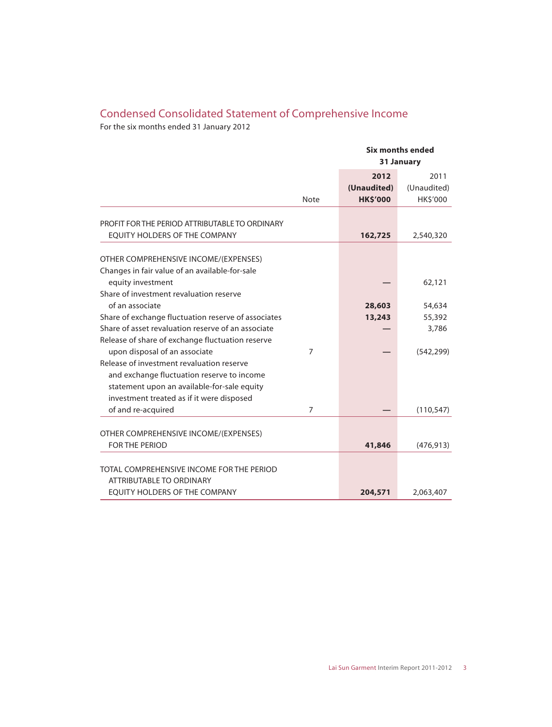## Condensed Consolidated Statement of Comprehensive Income

For the six months ended 31 January 2012

|                                                                                                                                                                                     |                |                                        | <b>Six months ended</b><br>31 January |
|-------------------------------------------------------------------------------------------------------------------------------------------------------------------------------------|----------------|----------------------------------------|---------------------------------------|
|                                                                                                                                                                                     | <b>Note</b>    | 2012<br>(Unaudited)<br><b>HK\$'000</b> | 2011<br>(Unaudited)<br>HK\$'000       |
| PROFIT FOR THE PERIOD ATTRIBUTABLE TO ORDINARY<br>EQUITY HOLDERS OF THE COMPANY                                                                                                     |                | 162,725                                | 2,540,320                             |
| OTHER COMPREHENSIVE INCOME/(EXPENSES)<br>Changes in fair value of an available-for-sale<br>equity investment                                                                        |                |                                        | 62,121                                |
| Share of investment revaluation reserve<br>of an associate<br>Share of exchange fluctuation reserve of associates                                                                   |                | 28,603<br>13,243                       | 54,634<br>55,392                      |
| Share of asset revaluation reserve of an associate<br>Release of share of exchange fluctuation reserve<br>upon disposal of an associate                                             | $\overline{7}$ |                                        | 3,786<br>(542, 299)                   |
| Release of investment revaluation reserve<br>and exchange fluctuation reserve to income<br>statement upon an available-for-sale equity<br>investment treated as if it were disposed |                |                                        |                                       |
| of and re-acquired                                                                                                                                                                  | 7              |                                        | (110, 547)                            |
| OTHER COMPREHENSIVE INCOME/(EXPENSES)<br>FOR THE PERIOD                                                                                                                             |                | 41,846                                 | (476, 913)                            |
| TOTAL COMPREHENSIVE INCOME FOR THE PERIOD<br>ATTRIBUTABLE TO ORDINARY                                                                                                               |                |                                        |                                       |
| EQUITY HOLDERS OF THE COMPANY                                                                                                                                                       |                | 204,571                                | 2,063,407                             |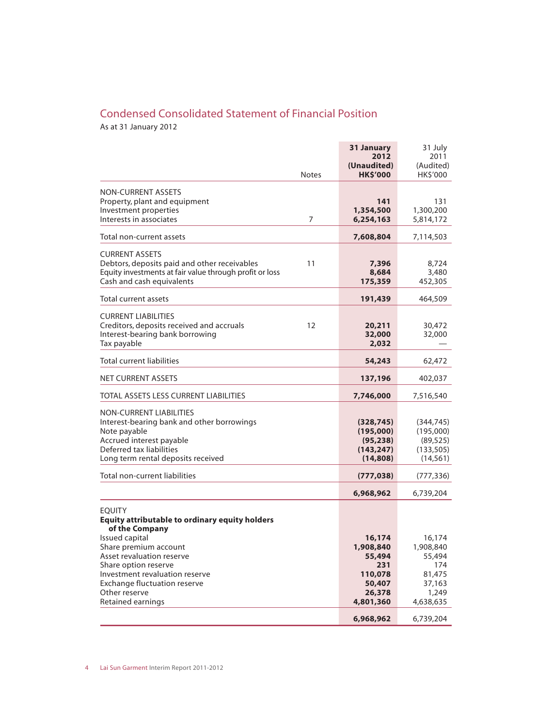## Condensed Consolidated Statement of Financial Position

As at 31 January 2012

|                                                                                                                                                                                     | 31 January<br>2012<br>(Unaudited)                              | 31 July<br>2011<br>(Audited)                                    |
|-------------------------------------------------------------------------------------------------------------------------------------------------------------------------------------|----------------------------------------------------------------|-----------------------------------------------------------------|
| <b>Notes</b>                                                                                                                                                                        | <b>HK\$'000</b>                                                | HK\$'000                                                        |
| <b>NON-CURRENT ASSETS</b><br>Property, plant and equipment<br>Investment properties<br>Interests in associates<br>7                                                                 | 141<br>1,354,500<br>6,254,163                                  | 131<br>1,300,200<br>5,814,172                                   |
| Total non-current assets                                                                                                                                                            | 7,608,804                                                      | 7,114,503                                                       |
| <b>CURRENT ASSETS</b><br>Debtors, deposits paid and other receivables<br>11<br>Equity investments at fair value through profit or loss<br>Cash and cash equivalents                 | 7,396<br>8,684<br>175,359                                      | 8,724<br>3,480<br>452,305                                       |
| Total current assets                                                                                                                                                                | 191,439                                                        | 464,509                                                         |
| <b>CURRENT LIABILITIES</b><br>Creditors, deposits received and accruals<br>12<br>Interest-bearing bank borrowing<br>Tax payable                                                     | 20,211<br>32,000<br>2,032                                      | 30,472<br>32,000                                                |
| <b>Total current liabilities</b>                                                                                                                                                    | 54,243                                                         | 62,472                                                          |
| <b>NET CURRENT ASSETS</b>                                                                                                                                                           | 137,196                                                        | 402,037                                                         |
| <b>TOTAL ASSETS LESS CURRENT LIABILITIES</b>                                                                                                                                        | 7,746,000                                                      | 7,516,540                                                       |
| NON-CURRENT LIABILITIES<br>Interest-bearing bank and other borrowings<br>Note payable<br>Accrued interest payable<br>Deferred tax liabilities<br>Long term rental deposits received | (328, 745)<br>(195,000)<br>(95, 238)<br>(143, 247)<br>(14,808) | (344, 745)<br>(195,000)<br>(89, 525)<br>(133, 505)<br>(14, 561) |
| <b>Total non-current liabilities</b>                                                                                                                                                | (777, 038)                                                     | (777, 336)                                                      |
|                                                                                                                                                                                     | 6,968,962                                                      | 6,739,204                                                       |
| <b>EQUITY</b><br><b>Equity attributable to ordinary equity holders</b><br>of the Company<br>Issued capital                                                                          | 16,174                                                         | 16,174                                                          |
| Share premium account<br>Asset revaluation reserve<br>Share option reserve<br>Investment revaluation reserve<br><b>Exchange fluctuation reserve</b><br>Other reserve                | 1,908,840<br>55,494<br>231<br>110,078<br>50,407<br>26,378      | 1,908,840<br>55,494<br>174<br>81,475<br>37,163<br>1,249         |
| Retained earnings                                                                                                                                                                   | 4,801,360<br>6,968,962                                         | 4,638,635<br>6,739,204                                          |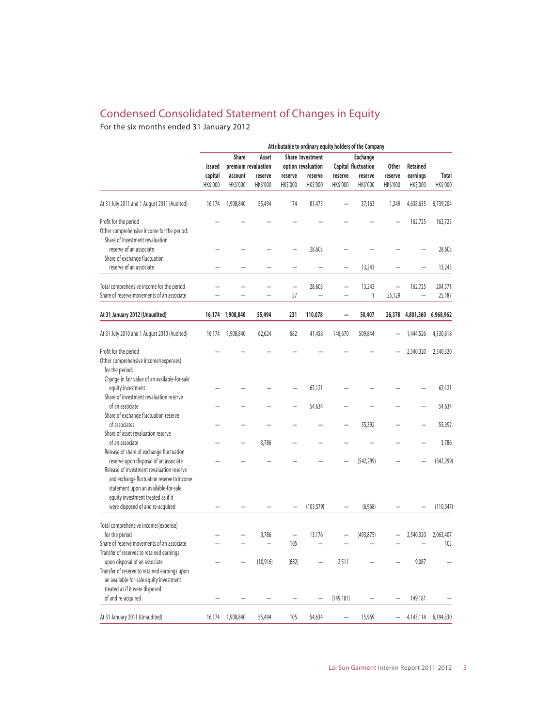## Condensed Consolidated Statement of Changes in Equity

For the six months ended 31 January 2012

|                                                                                             | Attributable to ordinary equity holders of the Company |                     |                     |                                           |                           |                     |                                 |                          |                      |                          |
|---------------------------------------------------------------------------------------------|--------------------------------------------------------|---------------------|---------------------|-------------------------------------------|---------------------------|---------------------|---------------------------------|--------------------------|----------------------|--------------------------|
|                                                                                             | <b>Share</b><br>Share Investment<br>Asset              |                     |                     |                                           | <b>Exchange</b>           |                     |                                 |                          |                      |                          |
|                                                                                             | premium revaluation<br>Issued                          |                     |                     | Capital fluctuation<br>option revaluation |                           |                     | <b>Other</b><br><b>Retained</b> |                          |                      |                          |
|                                                                                             | capital<br>HK\$'000                                    | account<br>HK\$'000 | reserve<br>HK\$'000 | reserve<br>HK\$'000                       | reserve<br><b>HKS'000</b> | reserve<br>HK\$'000 | reserve<br>HK\$'000             | reserve<br>HK\$'000      | earnings<br>HK\$'000 | <b>Total</b><br>HK\$'000 |
| At 31 July 2011 and 1 August 2011 (Audited)                                                 | 16,174                                                 | 1,908,840           | 55,494              | 174                                       | 81,475                    |                     | 37,163                          | 1,249                    | 4,638,635            | 6,739,204                |
|                                                                                             |                                                        |                     |                     |                                           |                           |                     |                                 |                          |                      |                          |
| Profit for the period<br>Other comprehensive income for the period:                         |                                                        |                     |                     |                                           |                           |                     |                                 |                          | 162,725              | 162,725                  |
| Share of Investment revaluation<br>reserve of an associate<br>Share of exchange fluctuation |                                                        |                     |                     |                                           | 28,603                    |                     |                                 |                          |                      | 28,603                   |
| reserve of an associate                                                                     |                                                        |                     |                     |                                           |                           |                     | 13,243                          |                          |                      | 13,243                   |
|                                                                                             |                                                        |                     |                     |                                           |                           |                     |                                 |                          |                      |                          |
| Total comprehensive income for the period                                                   |                                                        |                     |                     | $\overline{\phantom{0}}$                  | 28,603                    |                     | 13,243                          | $\overline{\phantom{0}}$ | 162,725              | 204,571                  |
| Share of reserve movements of an associate                                                  |                                                        |                     |                     | 57                                        |                           |                     | 1                               | 25,129                   | -                    | 25,187                   |
| At 31 January 2012 (Unaudited)                                                              |                                                        | 16,174 1,908,840    | 55,494              | 231                                       | 110,078                   |                     | 50,407                          | 26,378                   | 4,801,360            | 6,968,962                |
| At 31 July 2010 and 1 August 2010 (Audited)                                                 | 16,174                                                 | 1,908,840           | 62,624              | 682                                       | 41,458                    | 146,670             | 509,844                         |                          | 1,444,526            | 4,130,818                |
| Profit for the period                                                                       |                                                        |                     |                     |                                           |                           |                     |                                 |                          | 2,540,320            | 2,540,320                |
| Other comprehensive income/(expenses)                                                       |                                                        |                     |                     |                                           |                           |                     |                                 |                          |                      |                          |
| for the period:                                                                             |                                                        |                     |                     |                                           |                           |                     |                                 |                          |                      |                          |
| Change in fair value of an available-for-sale                                               |                                                        |                     |                     |                                           |                           |                     |                                 |                          |                      |                          |
| equity investment                                                                           |                                                        |                     |                     |                                           | 62,121                    |                     |                                 |                          |                      | 62,121                   |
| Share of investment revaluation reserve                                                     |                                                        |                     |                     |                                           |                           |                     |                                 |                          |                      |                          |
| of an associate                                                                             |                                                        |                     |                     |                                           | 54,634                    |                     |                                 |                          |                      | 54,634                   |
| Share of exchange fluctuation reserve                                                       |                                                        |                     |                     |                                           |                           |                     |                                 |                          |                      |                          |
| of associates                                                                               |                                                        |                     |                     |                                           |                           |                     | 55,392                          |                          |                      | 55,392                   |
| Share of asset revaluation reserve                                                          |                                                        |                     |                     |                                           |                           |                     |                                 |                          |                      |                          |
| of an associate                                                                             |                                                        |                     | 3,786               |                                           |                           |                     |                                 |                          |                      | 3,786                    |
| Release of share of exchange fluctuation                                                    |                                                        |                     |                     |                                           |                           |                     |                                 |                          |                      |                          |
| reserve upon disposal of an associate                                                       |                                                        |                     |                     |                                           |                           |                     | (542, 299)                      |                          |                      | (542, 299)               |
| Release of investment revaluation reserve                                                   |                                                        |                     |                     |                                           |                           |                     |                                 |                          |                      |                          |
| and exchange fluctuation reserve to income                                                  |                                                        |                     |                     |                                           |                           |                     |                                 |                          |                      |                          |
| statement upon an available-for-sale                                                        |                                                        |                     |                     |                                           |                           |                     |                                 |                          |                      |                          |
| equity investment treated as if it                                                          |                                                        |                     |                     |                                           |                           |                     |                                 |                          |                      |                          |
| were disposed of and re-acquired                                                            |                                                        |                     |                     |                                           | (103.579)                 |                     | (6,968)                         |                          |                      | (110, 547)               |
| Total comprehensive income/(expense)                                                        |                                                        |                     |                     |                                           |                           |                     |                                 |                          |                      |                          |
| for the period                                                                              |                                                        |                     | 3,786               |                                           | 13,176                    |                     | (493, 875)                      |                          | 2,540,320            | 2,063,407                |
| Share of reserve movements of an associate                                                  |                                                        |                     |                     | 105                                       |                           |                     |                                 |                          |                      | 105                      |
| Transfer of reserves to retained earnings                                                   |                                                        |                     |                     |                                           |                           |                     |                                 |                          |                      |                          |
| upon disposal of an associate                                                               |                                                        |                     | (10, 916)           | (682)                                     |                           | 2,511               |                                 |                          | 9,087                |                          |
| Transfer of reserve to retained earnings upon                                               |                                                        |                     |                     |                                           |                           |                     |                                 |                          |                      |                          |
| an available-for-sale equity investment                                                     |                                                        |                     |                     |                                           |                           |                     |                                 |                          |                      |                          |
| treated as if it were disposed                                                              |                                                        |                     |                     |                                           |                           |                     |                                 |                          |                      |                          |
| of and re-acquired                                                                          |                                                        |                     |                     |                                           |                           | (149, 181)          |                                 |                          | 149,181              |                          |
| At 31 January 2011 (Unaudited)                                                              | 16,174                                                 | 1,908,840           | 55,494              | 105                                       | 54,634                    |                     | 15,969                          |                          | 4,143,114            | 6,194,330                |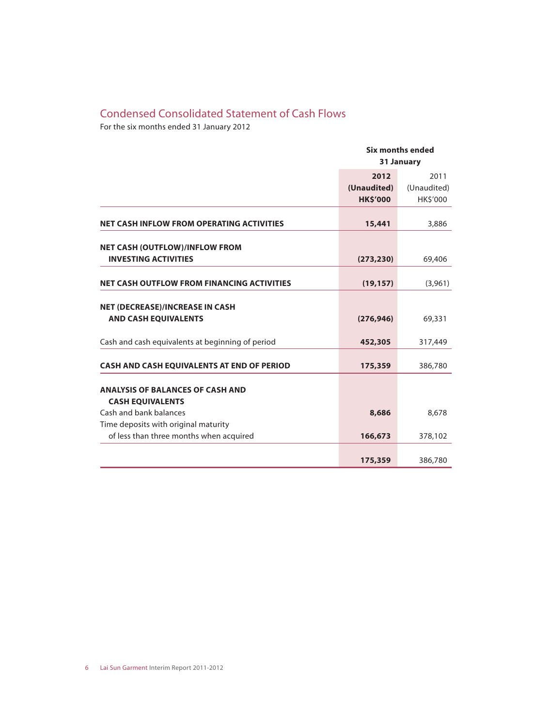## Condensed Consolidated Statement of Cash Flows

For the six months ended 31 January 2012

|                                                   |                 | <b>Six months ended</b> |  |
|---------------------------------------------------|-----------------|-------------------------|--|
|                                                   |                 | 31 January              |  |
|                                                   | 2012            | 2011                    |  |
|                                                   | (Unaudited)     | (Unaudited)             |  |
|                                                   | <b>HK\$'000</b> | HK\$'000                |  |
| <b>NET CASH INFLOW FROM OPERATING ACTIVITIES</b>  | 15,441          | 3,886                   |  |
| <b>NET CASH (OUTFLOW)/INFLOW FROM</b>             |                 |                         |  |
| <b>INVESTING ACTIVITIES</b>                       | (273, 230)      | 69,406                  |  |
| <b>NET CASH OUTFLOW FROM FINANCING ACTIVITIES</b> | (19, 157)       | (3,961)                 |  |
| <b>NET (DECREASE)/INCREASE IN CASH</b>            |                 |                         |  |
| <b>AND CASH EQUIVALENTS</b>                       | (276, 946)      | 69,331                  |  |
| Cash and cash equivalents at beginning of period  | 452,305         | 317,449                 |  |
| <b>CASH AND CASH EQUIVALENTS AT END OF PERIOD</b> | 175,359         | 386,780                 |  |
| <b>ANALYSIS OF BALANCES OF CASH AND</b>           |                 |                         |  |
| <b>CASH EQUIVALENTS</b>                           |                 |                         |  |
| Cash and bank balances                            | 8,686           | 8,678                   |  |
| Time deposits with original maturity              |                 |                         |  |
| of less than three months when acquired           | 166,673         | 378,102                 |  |
|                                                   |                 |                         |  |
|                                                   | 175,359         | 386,780                 |  |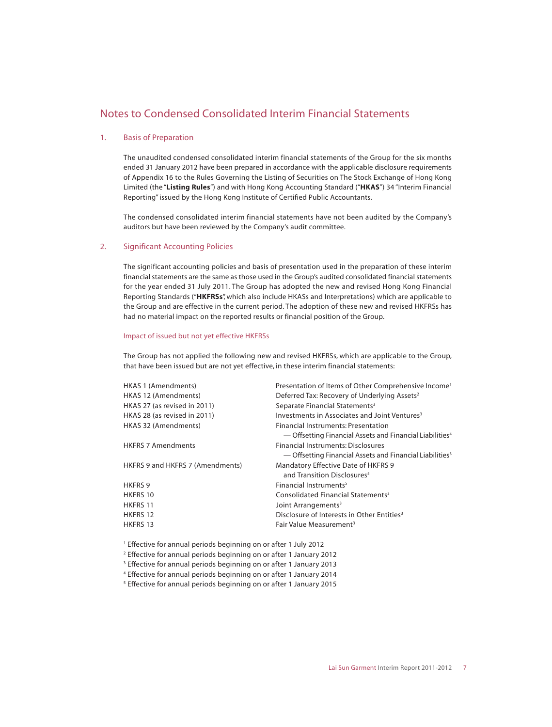#### 1. Basis of Preparation

The unaudited condensed consolidated interim financial statements of the Group for the six months ended 31 January 2012 have been prepared in accordance with the applicable disclosure requirements of Appendix 16 to the Rules Governing the Listing of Securities on The Stock Exchange of Hong Kong Limited (the "**Listing Rules**") and with Hong Kong Accounting Standard ("**HKAS**") 34 "Interim Financial Reporting" issued by the Hong Kong Institute of Certified Public Accountants.

The condensed consolidated interim financial statements have not been audited by the Company's auditors but have been reviewed by the Company's audit committee.

#### 2. Significant Accounting Policies

The significant accounting policies and basis of presentation used in the preparation of these interim financial statements are the same as those used in the Group's audited consolidated financial statements for the year ended 31 July 2011. The Group has adopted the new and revised Hong Kong Financial Reporting Standards ("**HKFRSs**", which also include HKASs and Interpretations) which are applicable to the Group and are effective in the current period. The adoption of these new and revised HKFRSs has had no material impact on the reported results or financial position of the Group.

#### Impact of issued but not yet effective HKFRSs

The Group has not applied the following new and revised HKFRSs, which are applicable to the Group, that have been issued but are not yet effective, in these interim financial statements:

| HKAS 1 (Amendments)              | Presentation of Items of Other Comprehensive Income <sup>1</sup>     |
|----------------------------------|----------------------------------------------------------------------|
| HKAS 12 (Amendments)             | Deferred Tax: Recovery of Underlying Assets <sup>2</sup>             |
| HKAS 27 (as revised in 2011)     | Separate Financial Statements <sup>3</sup>                           |
| HKAS 28 (as revised in 2011)     | Investments in Associates and Joint Ventures <sup>3</sup>            |
| HKAS 32 (Amendments)             | Financial Instruments: Presentation                                  |
|                                  | - Offsetting Financial Assets and Financial Liabilities <sup>4</sup> |
| <b>HKFRS 7 Amendments</b>        | Financial Instruments: Disclosures                                   |
|                                  | - Offsetting Financial Assets and Financial Liabilities <sup>3</sup> |
| HKFRS 9 and HKFRS 7 (Amendments) | <b>Mandatory Effective Date of HKFRS 9</b>                           |
|                                  | and Transition Disclosures <sup>5</sup>                              |
| <b>HKFRS 9</b>                   | Financial Instruments <sup>5</sup>                                   |
| HKFRS 10                         | Consolidated Financial Statements <sup>3</sup>                       |
| <b>HKFRS 11</b>                  | Joint Arrangements <sup>3</sup>                                      |
| HKFRS 12                         | Disclosure of Interests in Other Entities <sup>3</sup>               |
| <b>HKFRS 13</b>                  | Fair Value Measurement <sup>3</sup>                                  |
|                                  |                                                                      |

- 1 Effective for annual periods beginning on or after 1 July 2012
- 2 Effective for annual periods beginning on or after 1 January 2012
- 3 Effective for annual periods beginning on or after 1 January 2013
- 4 Effective for annual periods beginning on or after 1 January 2014
- 5 Effective for annual periods beginning on or after 1 January 2015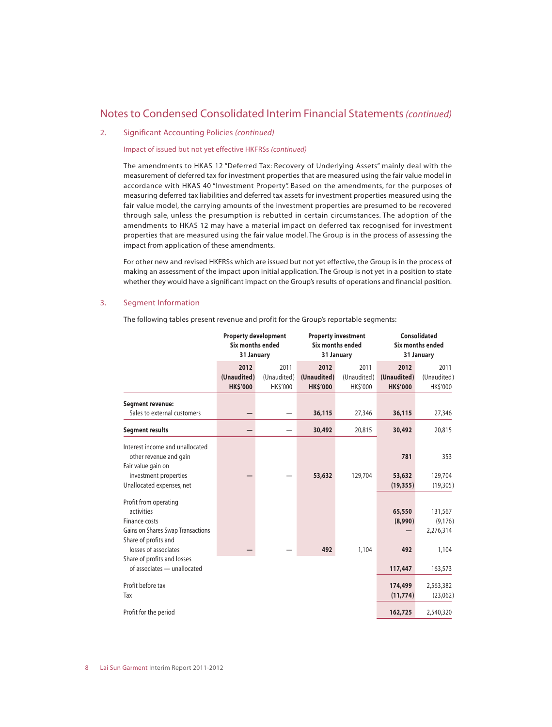#### 2. Significant Accounting Policies *(continued)*

#### Impact of issued but not yet effective HKFRSs *(continued)*

The amendments to HKAS 12 "Deferred Tax: Recovery of Underlying Assets" mainly deal with the measurement of deferred tax for investment properties that are measured using the fair value model in accordance with HKAS 40 "Investment Property". Based on the amendments, for the purposes of measuring deferred tax liabilities and deferred tax assets for investment properties measured using the fair value model, the carrying amounts of the investment properties are presumed to be recovered through sale, unless the presumption is rebutted in certain circumstances. The adoption of the amendments to HKAS 12 may have a material impact on deferred tax recognised for investment properties that are measured using the fair value model. The Group is in the process of assessing the impact from application of these amendments.

For other new and revised HKFRSs which are issued but not yet effective, the Group is in the process of making an assessment of the impact upon initial application. The Group is not yet in a position to state whether they would have a significant impact on the Group's results of operations and financial position.

#### 3. Segment Information

The following tables present revenue and profit for the Group's reportable segments:

|                                                                                                                                           | <b>Property development</b><br>Six months ended<br>31 January |                                 | <b>Property investment</b><br><b>Six months ended</b><br>31 January |                                 | <b>Consolidated</b><br>Six months ended<br>31 January |                                           |  |
|-------------------------------------------------------------------------------------------------------------------------------------------|---------------------------------------------------------------|---------------------------------|---------------------------------------------------------------------|---------------------------------|-------------------------------------------------------|-------------------------------------------|--|
|                                                                                                                                           | 2012<br>(Unaudited)<br><b>HK\$'000</b>                        | 2011<br>(Unaudited)<br>HK\$'000 | 2012<br>(Unaudited)<br><b>HK\$'000</b>                              | 2011<br>(Unaudited)<br>HK\$'000 | 2012<br>(Unaudited)<br><b>HK\$'000</b>                | 2011<br>(Unaudited)<br>HK\$'000           |  |
| <b>Segment revenue:</b><br>Sales to external customers                                                                                    |                                                               |                                 | 36,115                                                              | 27,346                          | 36,115                                                | 27,346                                    |  |
| <b>Segment results</b>                                                                                                                    |                                                               |                                 | 30,492                                                              | 20,815                          | 30,492                                                | 20,815                                    |  |
| Interest income and unallocated<br>other revenue and gain<br>Fair value gain on<br>investment properties<br>Unallocated expenses, net     |                                                               |                                 | 53,632                                                              | 129,704                         | 781<br>53,632<br>(19, 355)                            | 353<br>129,704<br>(19, 305)               |  |
| Profit from operating<br>activities<br>Finance costs<br>Gains on Shares Swap Transactions<br>Share of profits and<br>losses of associates |                                                               |                                 | 492                                                                 | 1,104                           | 65,550<br>(8,990)<br>492                              | 131,567<br>(9, 176)<br>2,276,314<br>1,104 |  |
| Share of profits and losses<br>of associates - unallocated                                                                                |                                                               |                                 |                                                                     |                                 | 117,447                                               | 163,573                                   |  |
| Profit before tax<br>Tax                                                                                                                  |                                                               |                                 |                                                                     |                                 | 174,499<br>(11, 774)                                  | 2,563,382<br>(23,062)                     |  |
| Profit for the period                                                                                                                     |                                                               |                                 |                                                                     |                                 | 162,725                                               | 2,540,320                                 |  |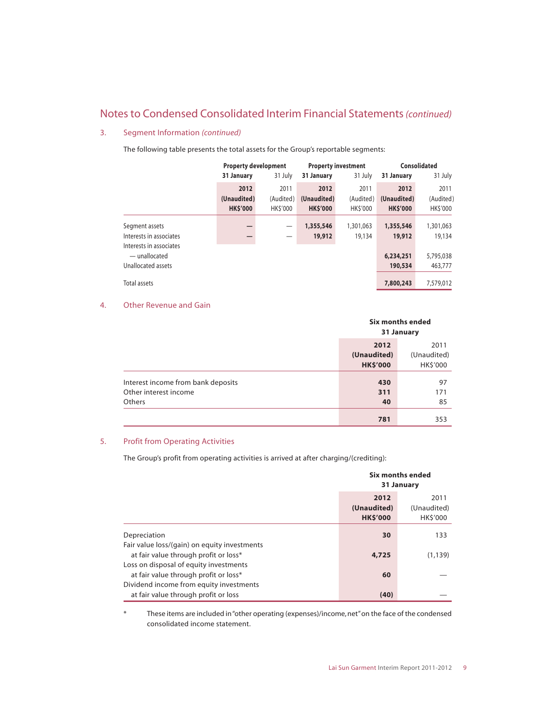#### 3. Segment Information *(continued)*

The following table presents the total assets for the Group's reportable segments:

|                                          | <b>Property development</b> |                          |                       | <b>Property investment</b> | Consolidated    |                |
|------------------------------------------|-----------------------------|--------------------------|-----------------------|----------------------------|-----------------|----------------|
|                                          | 31 January                  | 31 July                  | 31 January<br>31 July |                            | 31 January      | 31 July        |
|                                          | 2012                        | 2011                     | 2012                  | 2011                       | 2012            | 2011           |
|                                          | (Unaudited)                 | (Audited)                | (Unaudited)           | (Audited)                  | (Unaudited)     | (Audited)      |
|                                          | <b>HK\$'000</b>             | <b>HKS'000</b>           | <b>HK\$'000</b>       | <b>HKS'000</b>             | <b>HK\$'000</b> | <b>HKS'000</b> |
| Segment assets                           |                             | $\overline{\phantom{0}}$ | 1,355,546             | 1,301,063                  | 1,355,546       | 1,301,063      |
| Interests in associates                  |                             |                          | 19,912                | 19,134                     | 19,912          | 19,134         |
| Interests in associates<br>- unallocated |                             |                          |                       |                            | 6,234,251       | 5,795,038      |
| Unallocated assets                       |                             |                          |                       |                            | 190,534         | 463,777        |
| Total assets                             |                             |                          |                       |                            | 7,800,243       | 7,579,012      |

#### 4. Other Revenue and Gain

|                                                                       |                                        | <b>Six months ended</b><br>31 January |  |  |
|-----------------------------------------------------------------------|----------------------------------------|---------------------------------------|--|--|
|                                                                       | 2012<br>(Unaudited)<br><b>HK\$'000</b> | 2011<br>(Unaudited)<br>HK\$'000       |  |  |
| Interest income from bank deposits<br>Other interest income<br>Others | 430<br>311<br>40                       | 97<br>171<br>85                       |  |  |
|                                                                       | 781                                    | 353                                   |  |  |

#### 5. Profit from Operating Activities

The Group's profit from operating activities is arrived at after charging/(crediting):

|                                              | Six months ended<br>31 January        |                                       |  |
|----------------------------------------------|---------------------------------------|---------------------------------------|--|
|                                              | 2012<br>(Unaudited)<br><b>HKS'000</b> | 2011<br>(Unaudited)<br><b>HKS'000</b> |  |
| Depreciation                                 | 30                                    | 133                                   |  |
| Fair value loss/(gain) on equity investments |                                       |                                       |  |
| at fair value through profit or loss*        | 4,725                                 | (1, 139)                              |  |
| Loss on disposal of equity investments       |                                       |                                       |  |
| at fair value through profit or loss*        | 60                                    |                                       |  |
| Dividend income from equity investments      |                                       |                                       |  |
| at fair value through profit or loss         | (40)                                  |                                       |  |

\* These items are included in "other operating (expenses)/income, net" on the face of the condensed consolidated income statement.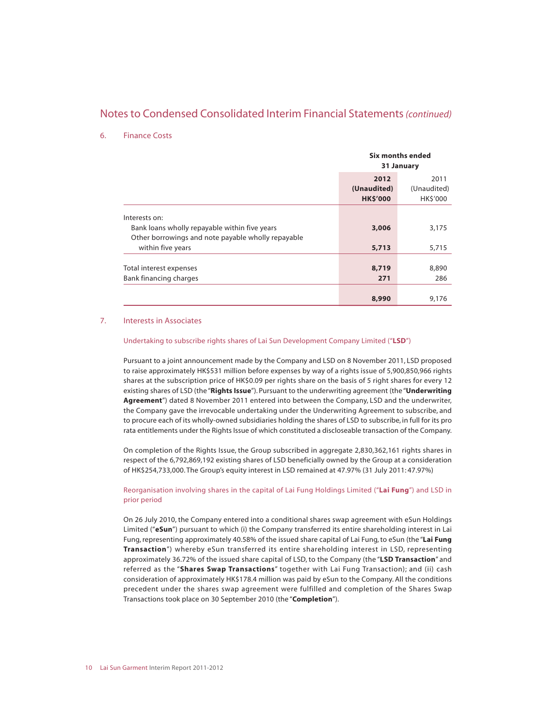#### 6. Finance Costs

|                                                                                                                      | Six months ended<br>31 January         |                                 |  |
|----------------------------------------------------------------------------------------------------------------------|----------------------------------------|---------------------------------|--|
|                                                                                                                      | 2012<br>(Unaudited)<br><b>HK\$'000</b> | 2011<br>(Unaudited)<br>HK\$'000 |  |
| Interests on:<br>Bank loans wholly repayable within five years<br>Other borrowings and note payable wholly repayable | 3,006                                  | 3,175                           |  |
| within five years                                                                                                    | 5,713                                  | 5,715                           |  |
| Total interest expenses<br>Bank financing charges                                                                    | 8,719<br>271                           | 8,890<br>286                    |  |
|                                                                                                                      | 8,990                                  | 9,176                           |  |

#### 7. Interests in Associates

#### Undertaking to subscribe rights shares of Lai Sun Development Company Limited ("**LSD**")

Pursuant to a joint announcement made by the Company and LSD on 8 November 2011, LSD proposed to raise approximately HK\$531 million before expenses by way of a rights issue of 5,900,850,966 rights shares at the subscription price of HK\$0.09 per rights share on the basis of 5 right shares for every 12 existing shares of LSD (the "**Rights Issue**"). Pursuant to the underwriting agreement (the "**Underwriting Agreement**") dated 8 November 2011 entered into between the Company, LSD and the underwriter, the Company gave the irrevocable undertaking under the Underwriting Agreement to subscribe, and to procure each of its wholly-owned subsidiaries holding the shares of LSD to subscribe, in full for its pro rata entitlements under the Rights Issue of which constituted a discloseable transaction of the Company.

On completion of the Rights Issue, the Group subscribed in aggregate 2,830,362,161 rights shares in respect of the 6,792,869,192 existing shares of LSD beneficially owned by the Group at a consideration of HK\$254,733,000. The Group's equity interest in LSD remained at 47.97% (31 July 2011: 47.97%)

#### Reorganisation involving shares in the capital of Lai Fung Holdings Limited ("**Lai Fung**") and LSD in prior period

On 26 July 2010, the Company entered into a conditional shares swap agreement with eSun Holdings Limited ("**eSun**") pursuant to which (i) the Company transferred its entire shareholding interest in Lai Fung, representing approximately 40.58% of the issued share capital of Lai Fung, to eSun (the "**Lai Fung Transaction**") whereby eSun transferred its entire shareholding interest in LSD, representing approximately 36.72% of the issued share capital of LSD, to the Company (the "**LSD Transaction**" and referred as the "**Shares Swap Transactions**" together with Lai Fung Transaction); and (ii) cash consideration of approximately HK\$178.4 million was paid by eSun to the Company. All the conditions precedent under the shares swap agreement were fulfilled and completion of the Shares Swap Transactions took place on 30 September 2010 (the "**Completion**").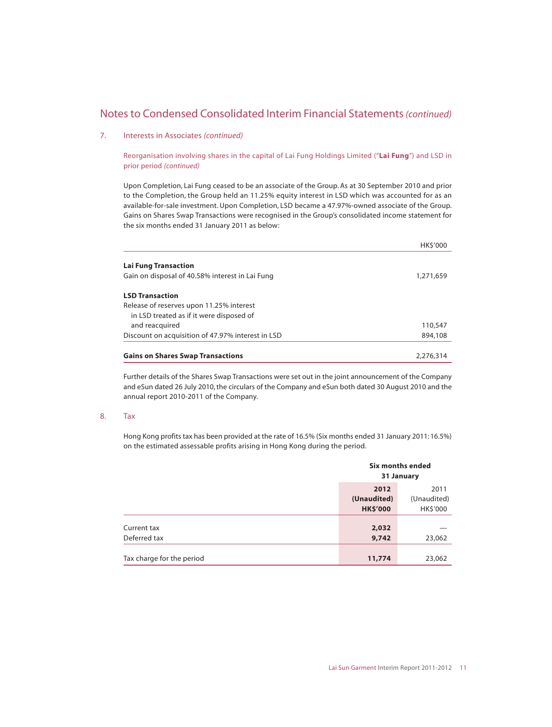#### 7. Interests in Associates *(continued)*

Reorganisation involving shares in the capital of Lai Fung Holdings Limited ("**Lai Fung**") and LSD in prior period *(continued)*

Upon Completion, Lai Fung ceased to be an associate of the Group. As at 30 September 2010 and prior to the Completion, the Group held an 11.25% equity interest in LSD which was accounted for as an available-for-sale investment. Upon Completion, LSD became a 47.97%-owned associate of the Group. Gains on Shares Swap Transactions were recognised in the Group's consolidated income statement for the six months ended 31 January 2011 as below:

|                                                   | <b>HKS'000</b> |
|---------------------------------------------------|----------------|
| <b>Lai Fung Transaction</b>                       |                |
| Gain on disposal of 40.58% interest in Lai Fung   | 1,271,659      |
| <b>LSD Transaction</b>                            |                |
| Release of reserves upon 11.25% interest          |                |
| in LSD treated as if it were disposed of          |                |
| and reacquired                                    | 110,547        |
| Discount on acquisition of 47.97% interest in LSD | 894,108        |
| <b>Gains on Shares Swap Transactions</b>          | 2.276.314      |

Further details of the Shares Swap Transactions were set out in the joint announcement of the Company and eSun dated 26 July 2010, the circulars of the Company and eSun both dated 30 August 2010 and the annual report 2010-2011 of the Company.

#### 8. Tax

Hong Kong profits tax has been provided at the rate of 16.5% (Six months ended 31 January 2011: 16.5%) on the estimated assessable profits arising in Hong Kong during the period.

|                           |                 | Six months ended<br>31 January |
|---------------------------|-----------------|--------------------------------|
|                           | 2012            | 2011                           |
|                           | (Unaudited)     | (Unaudited)                    |
|                           | <b>HK\$'000</b> | HK\$'000                       |
|                           |                 |                                |
| Current tax               | 2,032           |                                |
| Deferred tax              | 9,742           | 23,062                         |
|                           |                 |                                |
| Tax charge for the period | 11,774          | 23,062                         |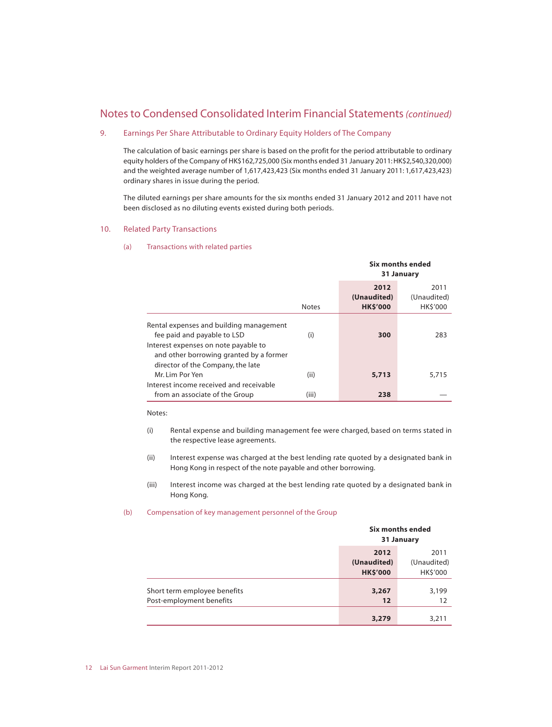#### 9. Earnings Per Share Attributable to Ordinary Equity Holders of The Company

The calculation of basic earnings per share is based on the profit for the period attributable to ordinary equity holders of the Company of HK\$162,725,000 (Six months ended 31 January 2011: HK\$2,540,320,000) and the weighted average number of 1,617,423,423 (Six months ended 31 January 2011: 1,617,423,423) ordinary shares in issue during the period.

The diluted earnings per share amounts for the six months ended 31 January 2012 and 2011 have not been disclosed as no diluting events existed during both periods.

#### 10. Related Party Transactions

#### (a) Transactions with related parties

|                                                                                                                                                           |              | Six months ended<br>31 January         |                                 |
|-----------------------------------------------------------------------------------------------------------------------------------------------------------|--------------|----------------------------------------|---------------------------------|
|                                                                                                                                                           | <b>Notes</b> | 2012<br>(Unaudited)<br><b>HK\$'000</b> | 2011<br>(Unaudited)<br>HK\$'000 |
| Rental expenses and building management<br>fee paid and payable to LSD<br>Interest expenses on note payable to<br>and other borrowing granted by a former | (i)          | 300                                    | 283                             |
| director of the Company, the late<br>Mr. Lim Por Yen<br>Interest income received and receivable                                                           | (ii)         | 5,713                                  | 5,715                           |
| from an associate of the Group                                                                                                                            | (iii)        | 238                                    |                                 |

#### Notes:

- (i) Rental expense and building management fee were charged, based on terms stated in the respective lease agreements.
- (ii) Interest expense was charged at the best lending rate quoted by a designated bank in Hong Kong in respect of the note payable and other borrowing.
- (iii) Interest income was charged at the best lending rate quoted by a designated bank in Hong Kong.

#### (b) Compensation of key management personnel of the Group

|                                                          |                                        | Six months ended<br>31 January  |
|----------------------------------------------------------|----------------------------------------|---------------------------------|
|                                                          | 2012<br>(Unaudited)<br><b>HK\$'000</b> | 2011<br>(Unaudited)<br>HK\$'000 |
| Short term employee benefits<br>Post-employment benefits | 3,267<br>12                            | 3,199<br>12                     |
|                                                          | 3,279                                  | 3,211                           |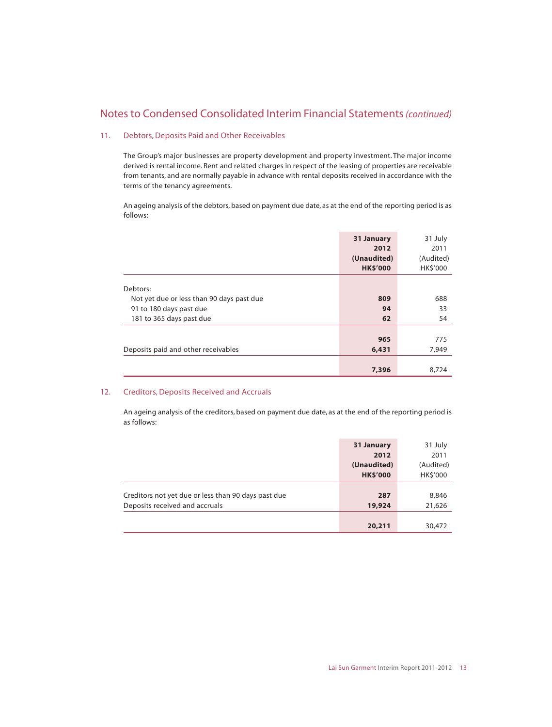#### 11. Debtors, Deposits Paid and Other Receivables

The Group's major businesses are property development and property investment. The major income derived is rental income. Rent and related charges in respect of the leasing of properties are receivable from tenants, and are normally payable in advance with rental deposits received in accordance with the terms of the tenancy agreements.

An ageing analysis of the debtors, based on payment due date, as at the end of the reporting period is as follows:

|                                           | 31 January      | 31 July   |
|-------------------------------------------|-----------------|-----------|
|                                           | 2012            | 2011      |
|                                           | (Unaudited)     | (Audited) |
|                                           | <b>HK\$'000</b> | HK\$'000  |
|                                           |                 |           |
| Debtors:                                  |                 |           |
| Not yet due or less than 90 days past due | 809             | 688       |
| 91 to 180 days past due                   | 94              | 33        |
| 181 to 365 days past due                  | 62              | 54        |
|                                           |                 |           |
|                                           | 965             | 775       |
| Deposits paid and other receivables       | 6,431           | 7,949     |
|                                           |                 |           |
|                                           | 7,396           | 8,724     |

#### 12. Creditors, Deposits Received and Accruals

An ageing analysis of the creditors, based on payment due date, as at the end of the reporting period is as follows:

|                                                     | 31 January      | 31 July   |
|-----------------------------------------------------|-----------------|-----------|
|                                                     | 2012            | 2011      |
|                                                     | (Unaudited)     | (Audited) |
|                                                     | <b>HK\$'000</b> | HK\$'000  |
|                                                     |                 |           |
| Creditors not yet due or less than 90 days past due | 287             | 8,846     |
| Deposits received and accruals                      | 19,924          | 21,626    |
|                                                     |                 |           |
|                                                     | 20,211          | 30,472    |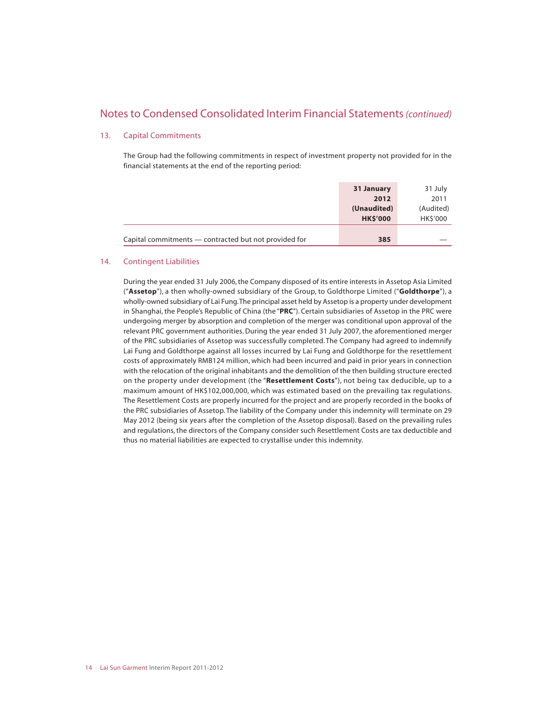#### 13. Capital Commitments

The Group had the following commitments in respect of investment property not provided for in the financial statements at the end of the reporting period:

|                                                       | 31 January<br>2012             | 31 July<br>2011       |
|-------------------------------------------------------|--------------------------------|-----------------------|
|                                                       | (Unaudited)<br><b>HK\$'000</b> | (Audited)<br>HK\$'000 |
| Capital commitments — contracted but not provided for | 385                            |                       |

#### 14. Contingent Liabilities

During the year ended 31 July 2006, the Company disposed of its entire interests in Assetop Asia Limited ("**Assetop**"), a then wholly-owned subsidiary of the Group, to Goldthorpe Limited ("**Goldthorpe**"), a wholly-owned subsidiary of Lai Fung. The principal asset held by Assetop is a property under development in Shanghai, the People's Republic of China (the "**PRC**"). Certain subsidiaries of Assetop in the PRC were undergoing merger by absorption and completion of the merger was conditional upon approval of the relevant PRC government authorities. During the year ended 31 July 2007, the aforementioned merger of the PRC subsidiaries of Assetop was successfully completed. The Company had agreed to indemnify Lai Fung and Goldthorpe against all losses incurred by Lai Fung and Goldthorpe for the resettlement costs of approximately RMB124 million, which had been incurred and paid in prior years in connection with the relocation of the original inhabitants and the demolition of the then building structure erected on the property under development (the "**Resettlement Costs**"), not being tax deducible, up to a maximum amount of HK\$102,000,000, which was estimated based on the prevailing tax regulations. The Resettlement Costs are properly incurred for the project and are properly recorded in the books of the PRC subsidiaries of Assetop. The liability of the Company under this indemnity will terminate on 29 May 2012 (being six years after the completion of the Assetop disposal). Based on the prevailing rules and regulations, the directors of the Company consider such Resettlement Costs are tax deductible and thus no material liabilities are expected to crystallise under this indemnity.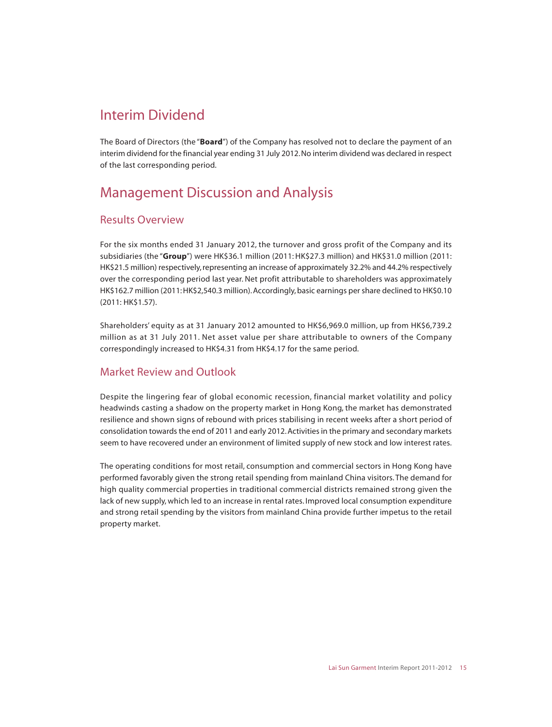# Interim Dividend

The Board of Directors (the "**Board**") of the Company has resolved not to declare the payment of an interim dividend for the financial year ending 31 July 2012. No interim dividend was declared in respect of the last corresponding period.

# Management Discussion and Analysis

## Results Overview

For the six months ended 31 January 2012, the turnover and gross profit of the Company and its subsidiaries (the "**Group**") were HK\$36.1 million (2011: HK\$27.3 million) and HK\$31.0 million (2011: HK\$21.5 million) respectively, representing an increase of approximately 32.2% and 44.2% respectively over the corresponding period last year. Net profit attributable to shareholders was approximately HK\$162.7 million (2011: HK\$2,540.3 million). Accordingly, basic earnings per share declined to HK\$0.10 (2011: HK\$1.57).

Shareholders' equity as at 31 January 2012 amounted to HK\$6,969.0 million, up from HK\$6,739.2 million as at 31 July 2011. Net asset value per share attributable to owners of the Company correspondingly increased to HK\$4.31 from HK\$4.17 for the same period.

### Market Review and Outlook

Despite the lingering fear of global economic recession, financial market volatility and policy headwinds casting a shadow on the property market in Hong Kong, the market has demonstrated resilience and shown signs of rebound with prices stabilising in recent weeks after a short period of consolidation towards the end of 2011 and early 2012. Activities in the primary and secondary markets seem to have recovered under an environment of limited supply of new stock and low interest rates.

The operating conditions for most retail, consumption and commercial sectors in Hong Kong have performed favorably given the strong retail spending from mainland China visitors. The demand for high quality commercial properties in traditional commercial districts remained strong given the lack of new supply, which led to an increase in rental rates. Improved local consumption expenditure and strong retail spending by the visitors from mainland China provide further impetus to the retail property market.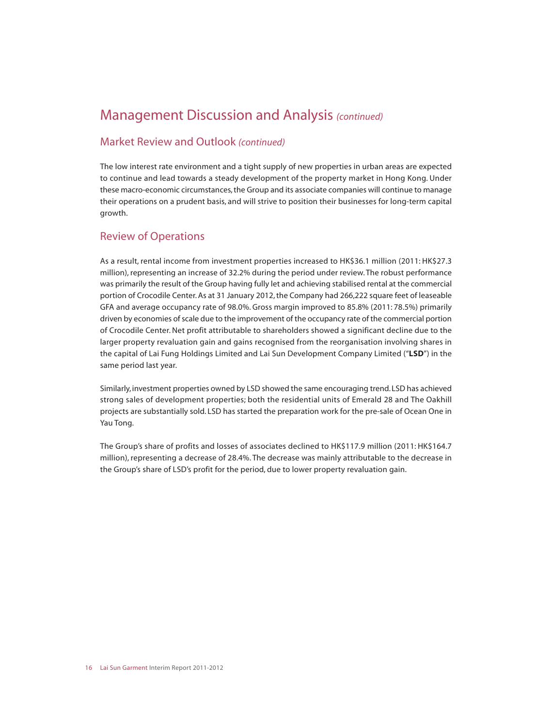# Management Discussion and Analysis *(continued)*

### Market Review and Outlook *(continued)*

The low interest rate environment and a tight supply of new properties in urban areas are expected to continue and lead towards a steady development of the property market in Hong Kong. Under these macro-economic circumstances, the Group and its associate companies will continue to manage their operations on a prudent basis, and will strive to position their businesses for long-term capital growth.

## Review of Operations

As a result, rental income from investment properties increased to HK\$36.1 million (2011: HK\$27.3 million), representing an increase of 32.2% during the period under review. The robust performance was primarily the result of the Group having fully let and achieving stabilised rental at the commercial portion of Crocodile Center. As at 31 January 2012, the Company had 266,222 square feet of leaseable GFA and average occupancy rate of 98.0%. Gross margin improved to 85.8% (2011: 78.5%) primarily driven by economies of scale due to the improvement of the occupancy rate of the commercial portion of Crocodile Center. Net profit attributable to shareholders showed a significant decline due to the larger property revaluation gain and gains recognised from the reorganisation involving shares in the capital of Lai Fung Holdings Limited and Lai Sun Development Company Limited ("**LSD**") in the same period last year.

Similarly, investment properties owned by LSD showed the same encouraging trend. LSD has achieved strong sales of development properties; both the residential units of Emerald 28 and The Oakhill projects are substantially sold. LSD has started the preparation work for the pre-sale of Ocean One in Yau Tong.

The Group's share of profits and losses of associates declined to HK\$117.9 million (2011: HK\$164.7 million), representing a decrease of 28.4%. The decrease was mainly attributable to the decrease in the Group's share of LSD's profit for the period, due to lower property revaluation gain.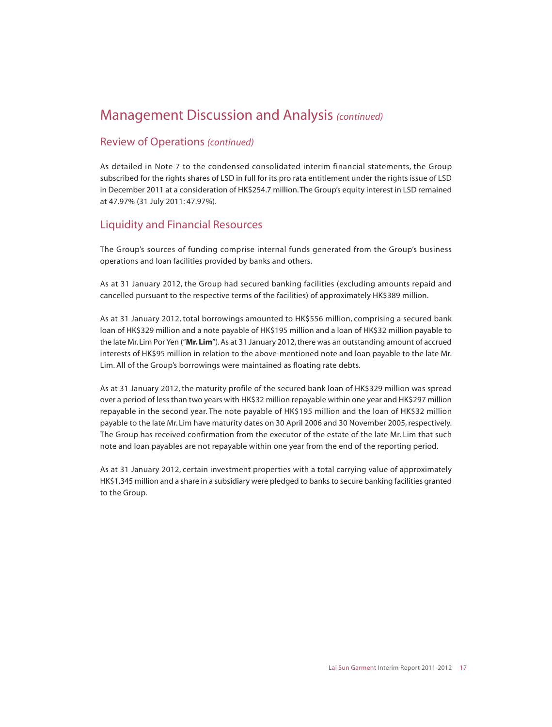# Management Discussion and Analysis *(continued)*

### Review of Operations *(continued)*

As detailed in Note 7 to the condensed consolidated interim financial statements, the Group subscribed for the rights shares of LSD in full for its pro rata entitlement under the rights issue of LSD in December 2011 at a consideration of HK\$254.7 million. The Group's equity interest in LSD remained at 47.97% (31 July 2011: 47.97%).

### Liquidity and Financial Resources

The Group's sources of funding comprise internal funds generated from the Group's business operations and loan facilities provided by banks and others.

As at 31 January 2012, the Group had secured banking facilities (excluding amounts repaid and cancelled pursuant to the respective terms of the facilities) of approximately HK\$389 million.

As at 31 January 2012, total borrowings amounted to HK\$556 million, comprising a secured bank loan of HK\$329 million and a note payable of HK\$195 million and a loan of HK\$32 million payable to the late Mr. Lim Por Yen ("**Mr. Lim**"). As at 31 January 2012, there was an outstanding amount of accrued interests of HK\$95 million in relation to the above-mentioned note and loan payable to the late Mr. Lim. All of the Group's borrowings were maintained as floating rate debts.

As at 31 January 2012, the maturity profile of the secured bank loan of HK\$329 million was spread over a period of less than two years with HK\$32 million repayable within one year and HK\$297 million repayable in the second year. The note payable of HK\$195 million and the loan of HK\$32 million payable to the late Mr. Lim have maturity dates on 30 April 2006 and 30 November 2005, respectively. The Group has received confirmation from the executor of the estate of the late Mr. Lim that such note and loan payables are not repayable within one year from the end of the reporting period.

As at 31 January 2012, certain investment properties with a total carrying value of approximately HK\$1,345 million and a share in a subsidiary were pledged to banks to secure banking facilities granted to the Group.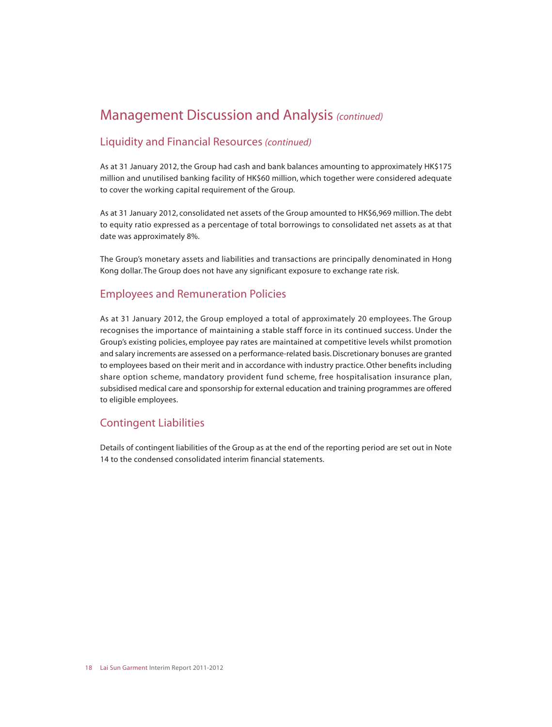# Management Discussion and Analysis *(continued)*

### Liquidity and Financial Resources *(continued)*

As at 31 January 2012, the Group had cash and bank balances amounting to approximately HK\$175 million and unutilised banking facility of HK\$60 million, which together were considered adequate to cover the working capital requirement of the Group.

As at 31 January 2012, consolidated net assets of the Group amounted to HK\$6,969 million. The debt to equity ratio expressed as a percentage of total borrowings to consolidated net assets as at that date was approximately 8%.

The Group's monetary assets and liabilities and transactions are principally denominated in Hong Kong dollar. The Group does not have any significant exposure to exchange rate risk.

### Employees and Remuneration Policies

As at 31 January 2012, the Group employed a total of approximately 20 employees. The Group recognises the importance of maintaining a stable staff force in its continued success. Under the Group's existing policies, employee pay rates are maintained at competitive levels whilst promotion and salary increments are assessed on a performance-related basis. Discretionary bonuses are granted to employees based on their merit and in accordance with industry practice. Other benefits including share option scheme, mandatory provident fund scheme, free hospitalisation insurance plan, subsidised medical care and sponsorship for external education and training programmes are offered to eligible employees.

### Contingent Liabilities

Details of contingent liabilities of the Group as at the end of the reporting period are set out in Note 14 to the condensed consolidated interim financial statements.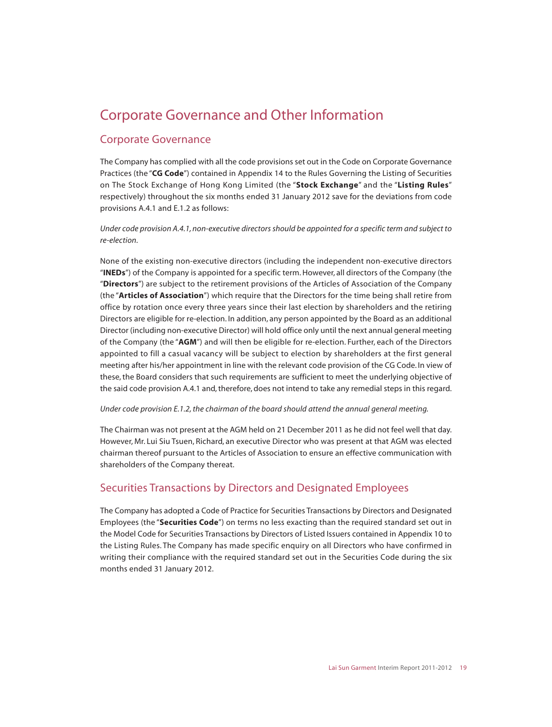# Corporate Governance and Other Information

## Corporate Governance

The Company has complied with all the code provisions set out in the Code on Corporate Governance Practices (the "**CG Code**") contained in Appendix 14 to the Rules Governing the Listing of Securities on The Stock Exchange of Hong Kong Limited (the "**Stock Exchange**" and the "**Listing Rules**" respectively) throughout the six months ended 31 January 2012 save for the deviations from code provisions A.4.1 and E.1.2 as follows:

*Under code provision A.4.1, non-executive directors should be appointed for a specific term and subject to re-election.*

None of the existing non-executive directors (including the independent non-executive directors "**INEDs**") of the Company is appointed for a specific term. However, all directors of the Company (the "**Directors**") are subject to the retirement provisions of the Articles of Association of the Company (the "**Articles of Association**") which require that the Directors for the time being shall retire from office by rotation once every three years since their last election by shareholders and the retiring Directors are eligible for re-election. In addition, any person appointed by the Board as an additional Director (including non-executive Director) will hold office only until the next annual general meeting of the Company (the "**AGM**") and will then be eligible for re-election. Further, each of the Directors appointed to fill a casual vacancy will be subject to election by shareholders at the first general meeting after his/her appointment in line with the relevant code provision of the CG Code. In view of these, the Board considers that such requirements are sufficient to meet the underlying objective of the said code provision A.4.1 and, therefore, does not intend to take any remedial steps in this regard.

#### *Under code provision E.1.2, the chairman of the board should attend the annual general meeting.*

The Chairman was not present at the AGM held on 21 December 2011 as he did not feel well that day. However, Mr. Lui Siu Tsuen, Richard, an executive Director who was present at that AGM was elected chairman thereof pursuant to the Articles of Association to ensure an effective communication with shareholders of the Company thereat.

### Securities Transactions by Directors and Designated Employees

The Company has adopted a Code of Practice for Securities Transactions by Directors and Designated Employees (the "**Securities Code**") on terms no less exacting than the required standard set out in the Model Code for Securities Transactions by Directors of Listed Issuers contained in Appendix 10 to the Listing Rules. The Company has made specific enquiry on all Directors who have confirmed in writing their compliance with the required standard set out in the Securities Code during the six months ended 31 January 2012.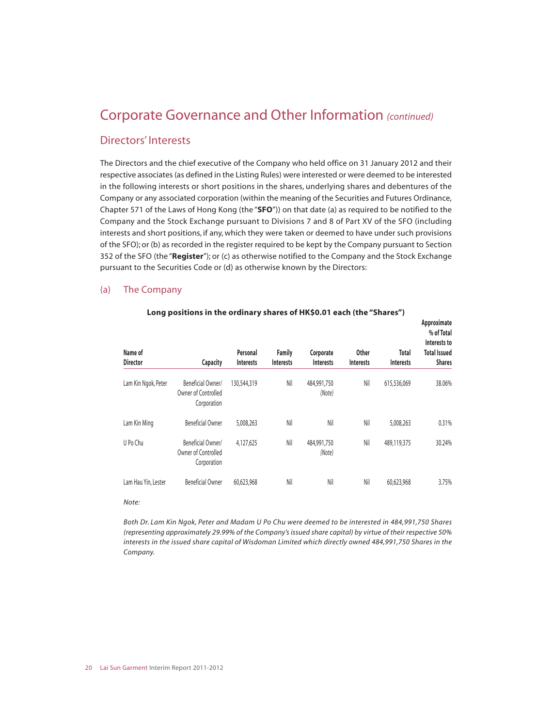### Directors' Interests

The Directors and the chief executive of the Company who held office on 31 January 2012 and their respective associates (as defined in the Listing Rules) were interested or were deemed to be interested in the following interests or short positions in the shares, underlying shares and debentures of the Company or any associated corporation (within the meaning of the Securities and Futures Ordinance, Chapter 571 of the Laws of Hong Kong (the "**SFO**")) on that date (a) as required to be notified to the Company and the Stock Exchange pursuant to Divisions 7 and 8 of Part XV of the SFO (including interests and short positions, if any, which they were taken or deemed to have under such provisions of the SFO); or (b) as recorded in the register required to be kept by the Company pursuant to Section 352 of the SFO (the "**Register**"); or (c) as otherwise notified to the Company and the Stock Exchange pursuant to the Securities Code or (d) as otherwise known by the Directors:

#### (a) The Company

| Name of<br><b>Director</b> | <b>Capacity</b>                                         | Personal<br><b>Interests</b> | <b>Family</b><br><b>Interests</b> | Corporate<br><b>Interests</b> | <b>Other</b><br><b>Interests</b> | Total<br><b>Interests</b> | Approximate<br>% of Total<br>Interests to<br><b>Total Issued</b><br><b>Shares</b> |
|----------------------------|---------------------------------------------------------|------------------------------|-----------------------------------|-------------------------------|----------------------------------|---------------------------|-----------------------------------------------------------------------------------|
| Lam Kin Ngok, Peter        | Beneficial Owner/<br>Owner of Controlled<br>Corporation | 130,544,319                  | Nil                               | 484,991,750<br>(Note)         | Nil                              | 615,536,069               | 38.06%                                                                            |
| Lam Kin Ming               | <b>Beneficial Owner</b>                                 | 5,008,263                    | Nil                               | Nil                           | Nil                              | 5,008,263                 | 0.31%                                                                             |
| U Po Chu                   | Beneficial Owner/<br>Owner of Controlled<br>Corporation | 4,127,625                    | Nil                               | 484,991,750<br>(Note)         | Nil                              | 489,119,375               | 30.24%                                                                            |
| Lam Hau Yin, Lester        | <b>Beneficial Owner</b>                                 | 60,623,968                   | Nil                               | Nil                           | Nil                              | 60,623,968                | 3.75%                                                                             |

#### **Long positions in the ordinary shares of HK\$0.01 each (the "Shares")**

#### *Note:*

*Both Dr. Lam Kin Ngok, Peter and Madam U Po Chu were deemed to be interested in 484,991,750 Shares (representing approximately 29.99% of the Company's issued share capital) by virtue of their respective 50% interests in the issued share capital of Wisdoman Limited which directly owned 484,991,750 Shares in the Company.*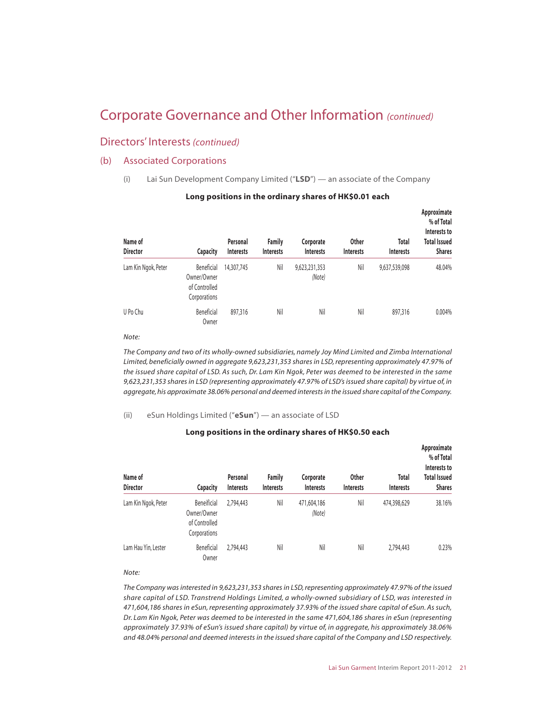### Directors' Interests*(continued)*

#### (b) Associated Corporations

(i) Lai Sun Development Company Limited ("**LSD**") — an associate of the Company

| Name of<br><b>Director</b> | <b>Capacity</b>                                            | Personal<br>Interests | <b>Family</b><br><b>Interests</b> | Corporate<br><b>Interests</b> | <b>Other</b><br><b>Interests</b> | Total<br><b>Interests</b> | Approximate<br>% of Total<br>Interests to<br><b>Total Issued</b><br><b>Shares</b> |
|----------------------------|------------------------------------------------------------|-----------------------|-----------------------------------|-------------------------------|----------------------------------|---------------------------|-----------------------------------------------------------------------------------|
| Lam Kin Ngok, Peter        | Beneficial<br>Owner/Owner<br>of Controlled<br>Corporations | 14,307,745            | Nil                               | 9,623,231,353<br>(Note)       | Nil                              | 9,637,539,098             | 48.04%                                                                            |
| U Po Chu                   | Beneficial<br>Owner                                        | 897,316               | Nil                               | Nil                           | Nil                              | 897,316                   | $0.004\%$                                                                         |

#### **Long positions in the ordinary shares of HK\$0.01 each**

#### *Note:*

*The Company and two of its wholly-owned subsidiaries, namely Joy Mind Limited and Zimba International Limited, beneficially owned in aggregate 9,623,231,353 shares in LSD, representing approximately 47.97% of the issued share capital of LSD. As such, Dr. Lam Kin Ngok, Peter was deemed to be interested in the same 9,623,231,353 shares in LSD (representing approximately 47.97% of LSD's issued share capital) by virtue of, in aggregate, his approximate 38.06% personal and deemed interests in the issued share capital of the Company.*

#### (ii) eSun Holdings Limited ("**eSun**") — an associate of LSD

#### **Long positions in the ordinary shares of HK\$0.50 each**

| Name of<br><b>Director</b> | <b>Capacity</b>                                             | Personal<br>Interests | <b>Family</b><br>Interests | Corporate<br>Interests | <b>Other</b><br>Interests | Total<br><b>Interests</b> | Approximate<br>% of Total<br>Interests to<br><b>Total Issued</b><br><b>Shares</b> |
|----------------------------|-------------------------------------------------------------|-----------------------|----------------------------|------------------------|---------------------------|---------------------------|-----------------------------------------------------------------------------------|
| Lam Kin Ngok, Peter        | Beneificial<br>Owner/Owner<br>of Controlled<br>Corporations | 2,794,443             | Nil                        | 471,604,186<br>(Note)  | Nil                       | 474,398,629               | 38.16%                                                                            |
| Lam Hau Yin, Lester        | <b>Beneficial</b><br>Owner                                  | 2,794,443             | Nil                        | Nil                    | Nil                       | 2,794,443                 | 0.23%                                                                             |

*Note:*

*The Company was interested in 9,623,231,353 shares in LSD, representing approximately 47.97% of the issued share capital of LSD. Transtrend Holdings Limited, a wholly-owned subsidiary of LSD, was interested in 471,604,186 shares in eSun, representing approximately 37.93% of the issued share capital of eSun. As such, Dr. Lam Kin Ngok, Peter was deemed to be interested in the same 471,604,186 shares in eSun (representing approximately 37.93% of eSun's issued share capital) by virtue of, in aggregate, his approximately 38.06% and 48.04% personal and deemed interests in the issued share capital of the Company and LSD respectively.*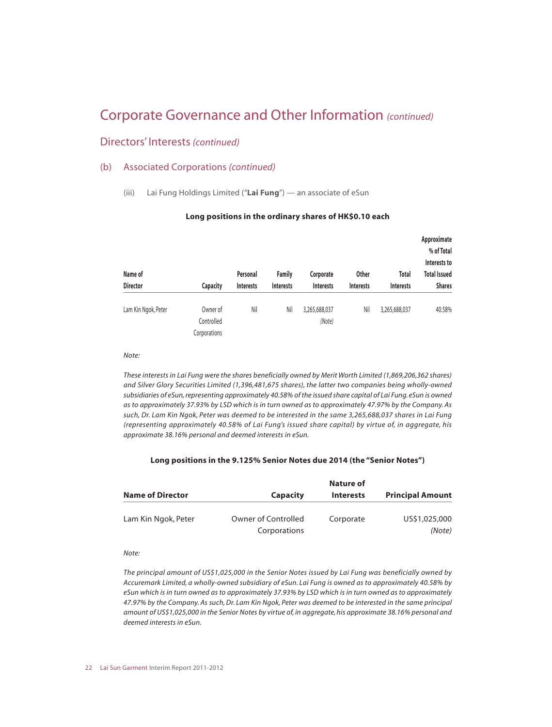#### Directors' Interests*(continued)*

#### (b) Associated Corporations *(continued)*

(iii) Lai Fung Holdings Limited ("**Lai Fung**") — an associate of eSun

|                     |                                        |          |                                                       |                         |                  |                           | Approximate<br>% of Total<br>Interests to |
|---------------------|----------------------------------------|----------|-------------------------------------------------------|-------------------------|------------------|---------------------------|-------------------------------------------|
| Name of             |                                        | Personal | <b>Family</b><br><b>Interests</b><br><b>Interests</b> | Corporate               | <b>Other</b>     | Total<br><b>Interests</b> | <b>Total Issued</b><br><b>Shares</b>      |
| <b>Director</b>     | <b>Capacity</b>                        |          |                                                       | <b>Interests</b>        | <b>Interests</b> |                           |                                           |
| Lam Kin Ngok, Peter | Owner of<br>Controlled<br>Corporations | Nil      | Nil                                                   | 3,265,688,037<br>(Note) | Nil              | 3,265,688,037             | 40.58%                                    |

#### **Long positions in the ordinary shares of HK\$0.10 each**

#### *Note:*

*These interests in Lai Fung were the shares beneficially owned by Merit Worth Limited (1,869,206,362 shares) and Silver Glory Securities Limited (1,396,481,675 shares), the latter two companies being wholly-owned subsidiaries of eSun, representing approximately 40.58% of the issued share capital of Lai Fung. eSun is owned as to approximately 37.93% by LSD which is in turn owned as to approximately 47.97% by the Company. As such, Dr. Lam Kin Ngok, Peter was deemed to be interested in the same 3,265,688,037 shares in Lai Fung (representing approximately 40.58% of Lai Fung's issued share capital) by virtue of, in aggregate, his approximate 38.16% personal and deemed interests in eSun.*

#### **Long positions in the 9.125% Senior Notes due 2014 (the "Senior Notes")**

| <b>Name of Director</b> | <b>Capacity</b>                     | Nature of<br><b>Interests</b> | <b>Principal Amount</b> |
|-------------------------|-------------------------------------|-------------------------------|-------------------------|
| Lam Kin Ngok, Peter     | Owner of Controlled<br>Corporations | Corporate                     | US\$1,025,000<br>(Note) |

*Note:*

*The principal amount of US\$1,025,000 in the Senior Notes issued by Lai Fung was beneficially owned by Accuremark Limited, a wholly-owned subsidiary of eSun. Lai Fung is owned as to approximately 40.58% by eSun which is in turn owned as to approximately 37.93% by LSD which is in turn owned as to approximately 47.97% by the Company. As such, Dr. Lam Kin Ngok, Peter was deemed to be interested in the same principal amount of US\$1,025,000 in the Senior Notes by virtue of, in aggregate, his approximate 38.16% personal and deemed interests in eSun.*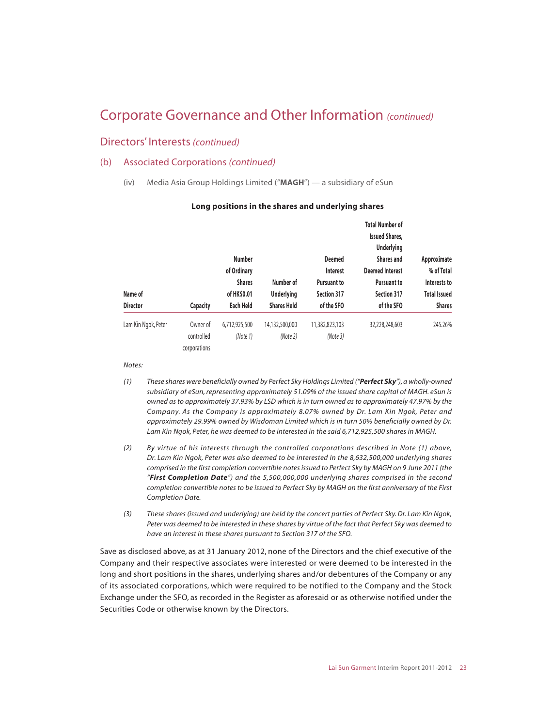#### Directors' Interests*(continued)*

#### (b) Associated Corporations *(continued)*

(iv) Media Asia Group Holdings Limited ("**MAGH**") — a subsidiary of eSun

|                     |                 | <b>Number</b><br>of Ordinary |                    | <b>Deemed</b><br>Interest | <b>Total Number of</b><br><b>Issued Shares,</b><br><b>Underlying</b><br><b>Shares and</b><br><b>Deemed Interest</b> | Approximate<br>% of Total |
|---------------------|-----------------|------------------------------|--------------------|---------------------------|---------------------------------------------------------------------------------------------------------------------|---------------------------|
|                     |                 |                              |                    |                           |                                                                                                                     |                           |
|                     |                 | <b>Shares</b>                | Number of          | <b>Pursuant to</b>        | <b>Pursuant to</b>                                                                                                  | Interests to              |
| Name of             |                 | of HK\$0.01                  | <b>Underlying</b>  | <b>Section 317</b>        | Section 317                                                                                                         | <b>Total Issued</b>       |
| <b>Director</b>     | <b>Capacity</b> | Each Held                    | <b>Shares Held</b> | of the SFO                | of the SFO                                                                                                          | <b>Shares</b>             |
| Lam Kin Ngok, Peter | Owner of        | 6,712,925,500                | 14,132,500,000     | 11,382,823,103            | 32,228,248,603                                                                                                      | 245.26%                   |
|                     | controlled      | (Note 1)                     | (Note 2)           | (Note 3)                  |                                                                                                                     |                           |
|                     | corporations    |                              |                    |                           |                                                                                                                     |                           |

#### **Long positions in the shares and underlying shares**

*Notes:*

- *(1) These shares were beneficially owned by Perfect Sky Holdings Limited ("Perfect Sky"), a wholly-owned subsidiary of eSun, representing approximately 51.09% of the issued share capital of MAGH. eSun is owned as to approximately 37.93% by LSD which is in turn owned as to approximately 47.97% by the Company. As the Company is approximately 8.07% owned by Dr. Lam Kin Ngok, Peter and approximately 29.99% owned by Wisdoman Limited which is in turn 50% beneficially owned by Dr. Lam Kin Ngok, Peter, he was deemed to be interested in the said 6,712,925,500 shares in MAGH.*
- *(2) By virtue of his interests through the controlled corporations described in Note (1) above, Dr. Lam Kin Ngok, Peter was also deemed to be interested in the 8,632,500,000 underlying shares comprised in the first completion convertible notes issued to Perfect Sky by MAGH on 9 June 2011 (the "First Completion Date") and the 5,500,000,000 underlying shares comprised in the second completion convertible notes to be issued to Perfect Sky by MAGH on the first anniversary of the First Completion Date.*
- *(3) These shares (issued and underlying) are held by the concert parties of Perfect Sky. Dr. Lam Kin Ngok, Peter was deemed to be interested in these shares by virtue of the fact that Perfect Sky was deemed to have an interest in these shares pursuant to Section 317 of the SFO.*

Save as disclosed above, as at 31 January 2012, none of the Directors and the chief executive of the Company and their respective associates were interested or were deemed to be interested in the long and short positions in the shares, underlying shares and/or debentures of the Company or any of its associated corporations, which were required to be notified to the Company and the Stock Exchange under the SFO, as recorded in the Register as aforesaid or as otherwise notified under the Securities Code or otherwise known by the Directors.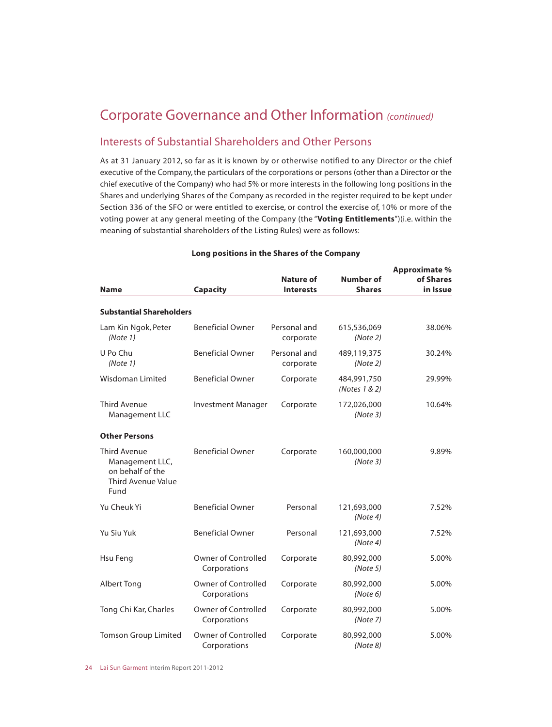### Interests of Substantial Shareholders and Other Persons

As at 31 January 2012, so far as it is known by or otherwise notified to any Director or the chief executive of the Company, the particulars of the corporations or persons (other than a Director or the chief executive of the Company) who had 5% or more interests in the following long positions in the Shares and underlying Shares of the Company as recorded in the register required to be kept under Section 336 of the SFO or were entitled to exercise, or control the exercise of, 10% or more of the voting power at any general meeting of the Company (the "**Voting Entitlements**")(i.e. within the meaning of substantial shareholders of the Listing Rules) were as follows:

| <b>Name</b>                                                                                     | <b>Capacity</b>                            | Nature of<br><b>Interests</b> | <b>Number of</b><br><b>Shares</b> | <b>Approximate %</b><br>of Shares<br>in Issue |
|-------------------------------------------------------------------------------------------------|--------------------------------------------|-------------------------------|-----------------------------------|-----------------------------------------------|
| <b>Substantial Shareholders</b>                                                                 |                                            |                               |                                   |                                               |
| Lam Kin Ngok, Peter<br>(Note 1)                                                                 | <b>Beneficial Owner</b>                    | Personal and<br>corporate     | 615,536,069<br>(Note 2)           | 38.06%                                        |
| U Po Chu<br>(Note 1)                                                                            | <b>Beneficial Owner</b>                    | Personal and<br>corporate     | 489,119,375<br>(Note 2)           | 30.24%                                        |
| Wisdoman Limited                                                                                | <b>Beneficial Owner</b>                    | Corporate                     | 484,991,750<br>(Notes 1 & 2)      | 29.99%                                        |
| <b>Third Avenue</b><br>Management LLC                                                           | <b>Investment Manager</b>                  | Corporate                     | 172,026,000<br>(Note3)            | 10.64%                                        |
| <b>Other Persons</b>                                                                            |                                            |                               |                                   |                                               |
| <b>Third Avenue</b><br>Management LLC,<br>on behalf of the<br><b>Third Avenue Value</b><br>Fund | <b>Beneficial Owner</b>                    | Corporate                     | 160,000,000<br>(Note3)            | 9.89%                                         |
| Yu Cheuk Yi                                                                                     | <b>Beneficial Owner</b>                    | Personal                      | 121,693,000<br>(Note4)            | 7.52%                                         |
| Yu Siu Yuk                                                                                      | <b>Beneficial Owner</b>                    | Personal                      | 121,693,000<br>(Note4)            | 7.52%                                         |
| Hsu Feng                                                                                        | <b>Owner of Controlled</b><br>Corporations | Corporate                     | 80,992,000<br>(Note 5)            | 5.00%                                         |
| <b>Albert Tong</b>                                                                              | <b>Owner of Controlled</b><br>Corporations | Corporate                     | 80,992,000<br>(Note 6)            | 5.00%                                         |
| Tong Chi Kar, Charles                                                                           | <b>Owner of Controlled</b><br>Corporations | Corporate                     | 80,992,000<br>(Note 7)            | 5.00%                                         |
| <b>Tomson Group Limited</b>                                                                     | <b>Owner of Controlled</b><br>Corporations | Corporate                     | 80,992,000<br>(Note 8)            | 5.00%                                         |

#### **Long positions in the Shares of the Company**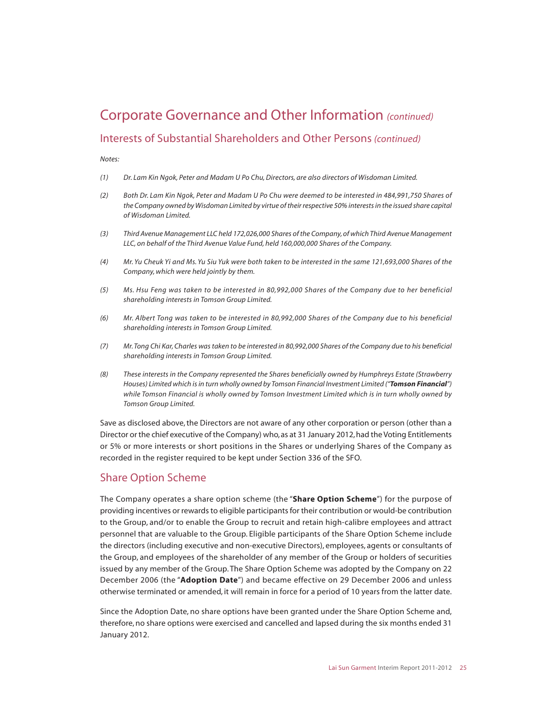### Interests of Substantial Shareholders and Other Persons*(continued)*

*Notes:*

- *(1) Dr. Lam Kin Ngok, Peter and Madam U Po Chu, Directors, are also directors of Wisdoman Limited.*
- *(2) Both Dr. Lam Kin Ngok, Peter and Madam U Po Chu were deemed to be interested in 484,991,750 Shares of the Company owned by Wisdoman Limited by virtue of their respective 50% interests in the issued share capital of Wisdoman Limited.*
- *(3) Third Avenue Management LLC held 172,026,000 Shares of the Company, of which Third Avenue Management LLC, on behalf of the Third Avenue Value Fund, held 160,000,000 Shares of the Company.*
- *(4) Mr. Yu Cheuk Yi and Ms. Yu Siu Yuk were both taken to be interested in the same 121,693,000 Shares of the Company, which were held jointly by them.*
- *(5) Ms. Hsu Feng was taken to be interested in 80,992,000 Shares of the Company due to her beneficial shareholding interests in Tomson Group Limited.*
- *(6) Mr. Albert Tong was taken to be interested in 80,992,000 Shares of the Company due to his beneficial shareholding interests in Tomson Group Limited.*
- *(7) Mr. Tong Chi Kar, Charles was taken to be interested in 80,992,000 Shares of the Company due to his beneficial shareholding interests in Tomson Group Limited.*
- *(8) These interests in the Company represented the Shares beneficially owned by Humphreys Estate (Strawberry Houses) Limited which is in turn wholly owned by Tomson Financial Investment Limited ("Tomson Financial") while Tomson Financial is wholly owned by Tomson Investment Limited which is in turn wholly owned by Tomson Group Limited.*

Save as disclosed above, the Directors are not aware of any other corporation or person (other than a Director or the chief executive of the Company) who, as at 31 January 2012, had the Voting Entitlements or 5% or more interests or short positions in the Shares or underlying Shares of the Company as recorded in the register required to be kept under Section 336 of the SFO.

### Share Option Scheme

The Company operates a share option scheme (the "**Share Option Scheme**") for the purpose of providing incentives or rewards to eligible participants for their contribution or would-be contribution to the Group, and/or to enable the Group to recruit and retain high-calibre employees and attract personnel that are valuable to the Group. Eligible participants of the Share Option Scheme include the directors (including executive and non-executive Directors), employees, agents or consultants of the Group, and employees of the shareholder of any member of the Group or holders of securities issued by any member of the Group. The Share Option Scheme was adopted by the Company on 22 December 2006 (the "**Adoption Date**") and became effective on 29 December 2006 and unless otherwise terminated or amended, it will remain in force for a period of 10 years from the latter date.

Since the Adoption Date, no share options have been granted under the Share Option Scheme and, therefore, no share options were exercised and cancelled and lapsed during the six months ended 31 January 2012.